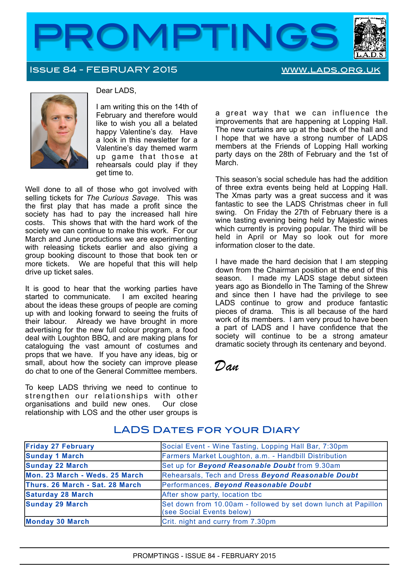

## Issue 84 - FEBRUARY 2015 [www.lads.org.uk](http://www.lads.org.uk)



#### Dear LADS,

I am writing this on the 14th of February and therefore would like to wish you all a belated happy Valentine's day. Have a look in this newsletter for a Valentine's day themed warm up game that those at rehearsals could play if they get time to.

Well done to all of those who got involved with selling tickets for *The Curious Savage*. This was the first play that has made a profit since the society has had to pay the increased hall hire costs. This shows that with the hard work of the society we can continue to make this work. For our March and June productions we are experimenting with releasing tickets earlier and also giving a group booking discount to those that book ten or more tickets. We are hopeful that this will help drive up ticket sales.

It is good to hear that the working parties have started to communicate. I am excited hearing about the ideas these groups of people are coming up with and looking forward to seeing the fruits of their labour. Already we have brought in more advertising for the new full colour program, a food deal with Loughton BBQ, and are making plans for cataloguing the vast amount of costumes and props that we have. If you have any ideas, big or small, about how the society can improve please do chat to one of the General Committee members.

To keep LADS thriving we need to continue to strengthen our relationships with other organisations and build new ones. Our close relationship with LOS and the other user groups is a great way that we can influence the improvements that are happening at Lopping Hall. The new curtains are up at the back of the hall and I hope that we have a strong number of LADS members at the Friends of Lopping Hall working party days on the 28th of February and the 1st of March.

This season's social schedule has had the addition of three extra events being held at Lopping Hall. The Xmas party was a great success and it was fantastic to see the LADS Christmas cheer in full swing. On Friday the 27th of February there is a wine tasting evening being held by Majestic wines which currently is proving popular. The third will be held in April or May so look out for more information closer to the date.

I have made the hard decision that I am stepping down from the Chairman position at the end of this season. I made my LADS stage debut sixteen years ago as Biondello in The Taming of the Shrew and since then I have had the privilege to see LADS continue to grow and produce fantastic pieces of drama. This is all because of the hard work of its members. I am very proud to have been a part of LADS and I have confidence that the society will continue to be a strong amateur dramatic society through its centenary and beyond.

*Dan*

| <b>Friday 27 February</b>       | Social Event - Wine Tasting, Lopping Hall Bar, 7:30pm                                       |
|---------------------------------|---------------------------------------------------------------------------------------------|
| <b>Sunday 1 March</b>           | Farmers Market Loughton, a.m. - Handbill Distribution                                       |
| <b>Sunday 22 March</b>          | Set up for <b>Beyond Reasonable Doubt</b> from 9.30am                                       |
| Mon. 23 March - Weds. 25 March  | Rehearsals, Tech and Dress Beyond Reasonable Doubt                                          |
| Thurs. 26 March - Sat. 28 March | Performances, Beyond Reasonable Doubt                                                       |
| <b>Saturday 28 March</b>        | After show party, location tbc                                                              |
| <b>Sunday 29 March</b>          | Set down from 10.00am - followed by set down lunch at Papillon<br>(see Social Events below) |
| Monday 30 March                 | Crit. night and curry from 7.30pm                                                           |

# LADS DATES FOR YOUR DIARY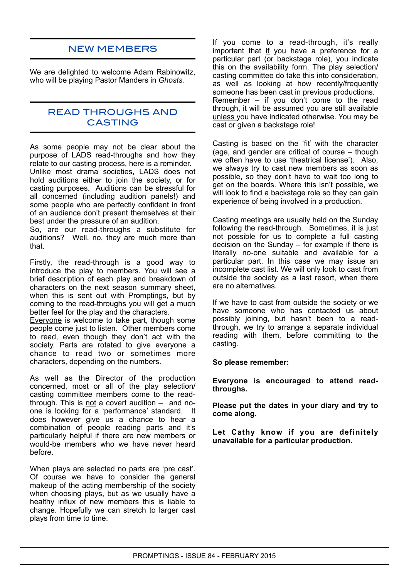# NEW MEMBERS

We are delighted to welcome Adam Rabinowitz, who will be playing Pastor Manders in *Ghosts.*

## READ THROUGHS AND CASTING

As some people may not be clear about the purpose of LADS read-throughs and how they relate to our casting process, here is a reminder. Unlike most drama societies, LADS does not hold auditions either to join the society, or for casting purposes. Auditions can be stressful for all concerned (including audition panels!) and some people who are perfectly confident in front of an audience don't present themselves at their best under the pressure of an audition.

So, are our read-throughs a substitute for auditions? Well, no, they are much more than that.

Firstly, the read-through is a good way to introduce the play to members. You will see a brief description of each play and breakdown of characters on the next season summary sheet, when this is sent out with Promptings, but by coming to the read-throughs you will get a much better feel for the play and the characters.

Everyone is welcome to take part, though some people come just to listen. Other members come to read, even though they don't act with the society. Parts are rotated to give everyone a chance to read two or sometimes more characters, depending on the numbers.

As well as the Director of the production concerned, most or all of the play selection/ casting committee members come to the readthrough. This is not a covert audition – and noone is looking for a 'performance' standard. It does however give us a chance to hear a combination of people reading parts and it's particularly helpful if there are new members or would-be members who we have never heard before.

When plays are selected no parts are 'pre cast'. Of course we have to consider the general makeup of the acting membership of the society when choosing plays, but as we usually have a healthy influx of new members this is liable to change. Hopefully we can stretch to larger cast plays from time to time.

If you come to a read-through, it's really important that if you have a preference for a particular part (or backstage role), you indicate this on the availability form. The play selection/ casting committee do take this into consideration, as well as looking at how recently/frequently someone has been cast in previous productions. Remember – if you don't come to the read through, it will be assumed you are still available unless you have indicated otherwise. You may be cast or given a backstage role!

Casting is based on the 'fit' with the character (age, and gender are critical of course – though we often have to use 'theatrical license'). Also, we always try to cast new members as soon as possible, so they don't have to wait too long to get on the boards. Where this isn't possible, we will look to find a backstage role so they can gain experience of being involved in a production.

Casting meetings are usually held on the Sunday following the read-through. Sometimes, it is just not possible for us to complete a full casting decision on the Sunday – for example if there is literally no-one suitable and available for a particular part. In this case we may issue an incomplete cast list. We will only look to cast from outside the society as a last resort, when there are no alternatives.

If we have to cast from outside the society or we have someone who has contacted us about possibly joining, but hasn't been to a readthrough, we try to arrange a separate individual reading with them, before committing to the casting.

#### **So please remember:**

**Everyone is encouraged to attend readthroughs.**

**Please put the dates in your diary and try to come along.**

**Let Cathy know if you are definitely unavailable for a particular production.**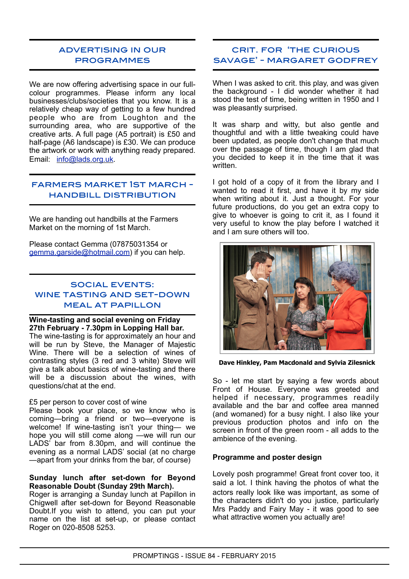# advertising in our **PROGRAMMES**

We are now offering advertising space in our fullcolour programmes. Please inform any local businesses/clubs/societies that you know. It is a relatively cheap way of getting to a few hundred people who are from Loughton and the surrounding area, who are supportive of the creative arts. A full page (A5 portrait) is £50 and half-page (A6 landscape) is £30. We can produce the artwork or work with anything ready prepared. Email: [info@lads.org.uk](mailto:info@lads.org.uk%22%20%5Ct%20%22_blank).

## farmers market 1st march handbill distribution

We are handing out handbills at the Farmers Market on the morning of 1st March.

Please contact Gemma (07875031354 or [gemma.garside@hotmail.com\)](mailto:gemma.garside@hotmail.com) if you can help.

## social events: wine tasting and set-down meal at papillon

#### **Wine-tasting and social evening on Friday 27th February - 7.30pm in Lopping Hall bar.**

The wine-tasting is for approximately an hour and will be run by Steve, the Manager of Majestic Wine. There will be a selection of wines of contrasting styles (3 red and 3 white) Steve will give a talk about basics of wine-tasting and there will be a discussion about the wines, with questions/chat at the end.

## £5 per person to cover cost of wine

Please book your place, so we know who is coming—bring a friend or two—everyone is welcome! If wine-tasting isn't your thing— we hope you will still come along —we will run our LADS<sup>'</sup> bar from 8.30pm, and will continue the evening as a normal LADS' social (at no charge —apart from your drinks from the bar, of course)

#### **Sunday lunch after set-down for Beyond Reasonable Doubt (Sunday 29th March).**

Roger is arranging a Sunday lunch at Papillon in Chigwell after set-down for Beyond Reasonable Doubt.If you wish to attend, you can put your name on the list at set-up, or please contact Roger on 020-8508 5253.

## crit. for 'the curious savage' - margaret godfrey

When I was asked to crit. this play, and was given the background - I did wonder whether it had stood the test of time, being written in 1950 and I was pleasantly surprised.

It was sharp and witty, but also gentle and thoughtful and with a little tweaking could have been updated, as people don't change that much over the passage of time, though I am glad that you decided to keep it in the time that it was written.

I got hold of a copy of it from the library and I wanted to read it first, and have it by my side when writing about it. Just a thought. For your future productions, do you get an extra copy to give to whoever is going to crit it, as I found it very useful to know the play before I watched it and I am sure others will too.



**Dave Hinkley, Pam Macdonald and Sylvia Zilesnick** 

So - let me start by saying a few words about Front of House. Everyone was greeted and helped if necessary, programmes readily available and the bar and coffee area manned (and womaned) for a busy night. I also like your previous production photos and info on the screen in front of the green room - all adds to the ambience of the evening.

## **Programme and poster design**

Lovely posh programme! Great front cover too, it said a lot. I think having the photos of what the actors really look like was important, as some of the characters didn't do you justice, particularly Mrs Paddy and Fairy May - it was good to see what attractive women you actually are!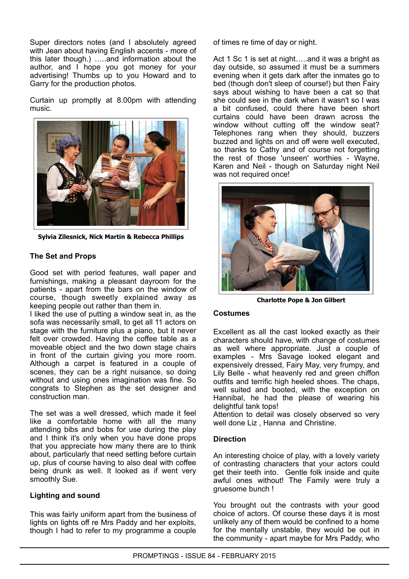Super directors notes (and I absolutely agreed with Jean about having English accents - more of this later though.) …..and information about the author, and I hope you got money for your advertising! Thumbs up to you Howard and to Garry for the production photos.

Curtain up promptly at 8.00pm with attending music.



**Sylvia Zilesnick, Nick Martin & Rebecca Phillips**

## **The Set and Props**

Good set with period features, wall paper and furnishings, making a pleasant dayroom for the patients - apart from the bars on the window of course, though sweetly explained away as keeping people out rather than them in.

I liked the use of putting a window seat in, as the sofa was necessarily small, to get all 11 actors on stage with the furniture plus a piano, but it never felt over crowded. Having the coffee table as a moveable object and the two down stage chairs in front of the curtain giving you more room. Although a carpet is featured in a couple of scenes, they can be a right nuisance, so doing without and using ones imagination was fine. So congrats to Stephen as the set designer and construction man.

The set was a well dressed, which made it feel like a comfortable home with all the many attending bibs and bobs for use during the play and I think it's only when you have done props that you appreciate how many there are to think about, particularly that need setting before curtain up, plus of course having to also deal with coffee being drunk as well. It looked as if went very smoothly Sue.

## **Lighting and sound**

This was fairly uniform apart from the business of lights on lights off re Mrs Paddy and her exploits, though I had to refer to my programme a couple

of times re time of day or night.

Act 1 Sc 1 is set at night....and it was a bright as day outside, so assumed it must be a summers evening when it gets dark after the inmates go to bed (though don't sleep of course!) but then Fairy says about wishing to have been a cat so that she could see in the dark when it wasn't so I was a bit confused, could there have been short curtains could have been drawn across the window without cutting off the window seat? Telephones rang when they should, buzzers buzzed and lights on and off were well executed, so thanks to Cathy and of course not forgetting the rest of those 'unseen' worthies - Wayne, Karen and Neil - though on Saturday night Neil was not required once!



**Charlotte Pope & Jon Gilbert**

## **Costumes**

Excellent as all the cast looked exactly as their characters should have, with change of costumes as well where appropriate. Just a couple of examples - Mrs Savage looked elegant and expensively dressed, Fairy May, very frumpy, and Lily Belle - what heavenly red and green chiffon outfits and terrific high heeled shoes. The chaps, well suited and booted, with the exception on Hannibal, he had the please of wearing his delightful tank tops!

Attention to detail was closely observed so very well done Liz , Hanna and Christine.

## **Direction**

An interesting choice of play, with a lovely variety of contrasting characters that your actors could get their teeth into. Gentle folk inside and quite awful ones without! The Family were truly a gruesome bunch !

You brought out the contrasts with your good choice of actors. Of course these days it is most unlikely any of them would be confined to a home for the mentally unstable, they would be out in the community - apart maybe for Mrs Paddy, who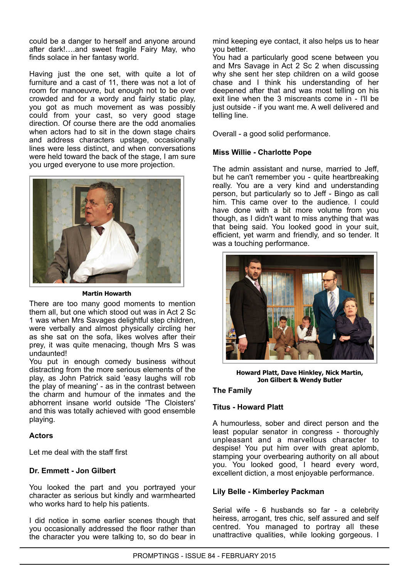could be a danger to herself and anyone around after dark!….and sweet fragile Fairy May, who finds solace in her fantasy world.

Having just the one set, with quite a lot of furniture and a cast of 11, there was not a lot of room for manoeuvre, but enough not to be over crowded and for a wordy and fairly static play, you got as much movement as was possibly could from your cast, so very good stage direction. Of course there are the odd anomalies when actors had to sit in the down stage chairs and address characters upstage, occasionally lines were less distinct, and when conversations were held toward the back of the stage, I am sure you urged everyone to use more projection.



#### **Martin Howarth**

There are too many good moments to mention them all, but one which stood out was in Act 2 Sc 1 was when Mrs Savages delightful step children, were verbally and almost physically circling her as she sat on the sofa, likes wolves after their prey, it was quite menacing, though Mrs S was undaunted!

You put in enough comedy business without distracting from the more serious elements of the play, as John Patrick said 'easy laughs will rob the play of meaning' - as in the contrast between the charm and humour of the inmates and the abhorrent insane world outside 'The Cloisters' and this was totally achieved with good ensemble playing.

## **Actors**

Let me deal with the staff first

## **Dr. Emmett - Jon Gilbert**

You looked the part and you portrayed your character as serious but kindly and warmhearted who works hard to help his patients.

I did notice in some earlier scenes though that you occasionally addressed the floor rather than the character you were talking to, so do bear in

mind keeping eye contact, it also helps us to hear you better.

You had a particularly good scene between you and Mrs Savage in Act 2 Sc 2 when discussing why she sent her step children on a wild goose chase and I think his understanding of her deepened after that and was most telling on his exit line when the 3 miscreants come in - I'll be just outside - if you want me. A well delivered and telling line.

Overall - a good solid performance.

## **Miss Willie - Charlotte Pope**

The admin assistant and nurse, married to Jeff, but he can't remember you - quite heartbreaking really. You are a very kind and understanding person, but particularly so to Jeff - Bingo as call him. This came over to the audience. I could have done with a bit more volume from you though, as I didn't want to miss anything that was that being said. You looked good in your suit, efficient, yet warm and friendly, and so tender. It was a touching performance.



**Howard Platt, Dave Hinkley, Nick Martin, Jon Gilbert & Wendy Butler**

## **The Family**

# **Titus - Howard Platt**

A humourless, sober and direct person and the least popular senator in congress - thoroughly unpleasant and a marvellous character to despise! You put him over with great aplomb, stamping your overbearing authority on all about you. You looked good, I heard every word, excellent diction, a most enjoyable performance.

## **Lily Belle - Kimberley Packman**

Serial wife - 6 husbands so far - a celebrity heiress, arrogant, tres chic, self assured and self centred. You managed to portray all these unattractive qualities, while looking gorgeous. I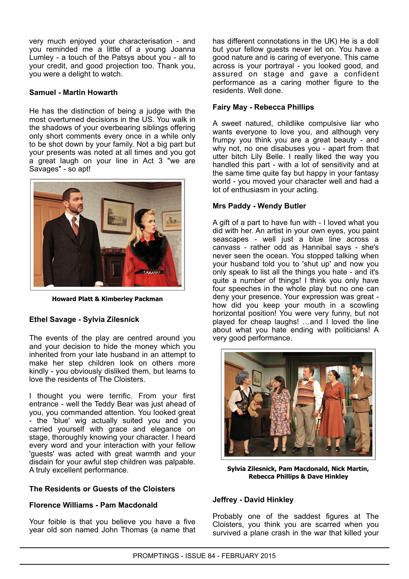very much enjoyed your characterisation - and you reminded me a little of a young Joanna Lumley - a touch of the Patsys about you - all to your credit, and good projection too. Thank you, you were a delight to watch.

#### **Samuel - Martin Howarth**

He has the distinction of being a judge with the most overturned decisions in the US. You walk in the shadows of your overbearing siblings offering only short comments every once in a while only to be shot down by your family. Not a big part but your presents was noted at all times and you got a great laugh on your line in Act 3 "we are Savages" - so apt!



**Howard Platt & Kimberley Packman**

## **Ethel Savage - Sylvia Zilesnick**

The events of the play are centred around you and your decision to hide the money which you inherited from your late husband in an attempt to make her step children look on others more kindly - you obviously disliked them, but learns to love the residents of The Cloisters.

I thought you were terrific. From your first entrance - well the Teddy Bear was just ahead of you, you commanded attention. You looked great - the 'blue' wig actually suited you and you carried yourself with grace and elegance on stage, thoroughly knowing your character. I heard every word and your interaction with your fellow 'guests' was acted with great warmth and your disdain for your awful step children was palpable. A truly excellent performance.

#### **The Residents or Guests of the Cloisters**

## **Florence Williams - Pam Macdonald**

Your foible is that you believe you have a five year old son named John Thomas (a name that has different connotations in the UK) He is a doll but your fellow guests never let on. You have a good nature and is caring of everyone. This came across is your portrayal - you looked good, and assured on stage and gave a confident performance as a caring mother figure to the residents. Well done.

#### **Fairy May - Rebecca Phillips**

A sweet natured, childlike compulsive liar who wants everyone to love you, and although very frumpy you think you are a great beauty - and why not, no one disabuses you - apart from that utter bitch Lily Belle. I really liked the way you handled this part - with a lot of sensitivity and at the same time quite fay but happy in your fantasy world - you moved your character well and had a lot of enthusiasm in your acting.

#### **Mrs Paddy - Wendy Butler**

A gift of a part to have fun with - I loved what you did with her. An artist in your own eyes, you paint seascapes - well just a blue line across a canvass - rather odd as Hannibal says - she's never seen the ocean. You stopped talking when your husband told you to 'shut up' and now you only speak to list all the things you hate - and it's quite a number of things! I think you only have four speeches in the whole play but no one can deny your presence. Your expression was great how did you keep your mouth in a scowling horizontal position! You were very funny, but not played for cheap laughs! …and I loved the line about what you hate ending with politicians! A very good performance.



**Sylvia Zilesnick, Pam Macdonald, Nick Martin, Rebecca Phillips & Dave Hinkley**

#### **Jeffrey - David Hinkley**

Probably one of the saddest figures at The Cloisters, you think you are scarred when you survived a plane crash in the war that killed your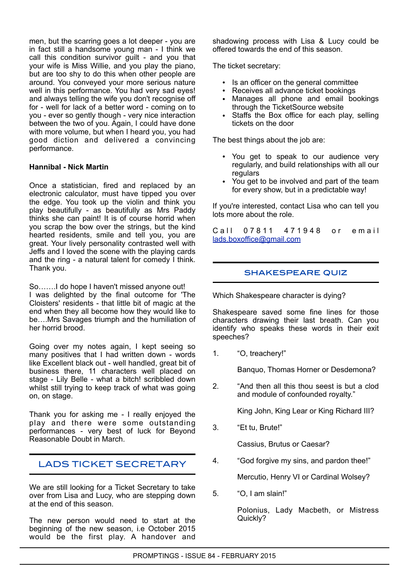men, but the scarring goes a lot deeper - you are in fact still a handsome young man - I think we call this condition survivor guilt - and you that your wife is Miss Willie, and you play the piano, but are too shy to do this when other people are around. You conveyed your more serious nature well in this performance. You had very sad eyes! and always telling the wife you don't recognise off for - well for lack of a better word - coming on to you - ever so gently though - very nice interaction between the two of you. Again, I could have done with more volume, but when I heard you, you had good diction and delivered a convincing performance.

#### **Hannibal - Nick Martin**

Once a statistician, fired and replaced by an electronic calculator, must have tipped you over the edge. You took up the violin and think you play beautifully - as beautifully as Mrs Paddy thinks she can paint! It is of course horrid when you scrap the bow over the strings, but the kind hearted residents, smile and tell you, you are great. Your lively personality contrasted well with Jeffs and I loved the scene with the playing cards and the ring - a natural talent for comedy I think. Thank you.

So…….I do hope I haven't missed anyone out! I was delighted by the final outcome for 'The Cloisters' residents - that little bit of magic at the end when they all become how they would like to be….Mrs Savages triumph and the humiliation of her horrid brood.

Going over my notes again, I kept seeing so many positives that I had written down - words like Excellent black out - well handled, great bit of business there, 11 characters well placed on stage - Lily Belle - what a bitch! scribbled down whilst still trying to keep track of what was going on, on stage.

Thank you for asking me - I really enjoyed the play and there were some outstanding performances - very best of luck for Beyond Reasonable Doubt in March.

## LADS TICKET SECRETARY

We are still looking for a Ticket Secretary to take over from Lisa and Lucy, who are stepping down at the end of this season.

The new person would need to start at the beginning of the new season, i.e October 2015 would be the first play. A handover and

shadowing process with Lisa & Lucy could be offered towards the end of this season.

The ticket secretary:

- Is an officer on the general committee
- Receives all advance ticket bookings
- Manages all phone and email bookings through the TicketSource website
- Staffs the Box office for each play, selling tickets on the door

The best things about the job are:

- You get to speak to our audience very regularly, and build relationships with all our regulars
- You get to be involved and part of the team for every show, but in a predictable way!

If you're interested, contact Lisa who can tell you lots more about the role.

C all 0 7 8 11 4 7 1 9 4 8 or email [lads.boxoffice@gmail.com](mailto:lads.boxoffice@gmail.com)

## SHAKESPEARE QUIZ

Which Shakespeare character is dying?

Shakespeare saved some fine lines for those characters drawing their last breath. Can you identify who speaks these words in their exit speeches?

1. "O, treachery!"

Banquo, Thomas Horner or Desdemona?

2. "And then all this thou seest is but a clod and module of confounded royalty."

King John, King Lear or King Richard III?

3. "Et tu, Brute!"

Cassius, Brutus or Caesar?

4. "God forgive my sins, and pardon thee!"

Mercutio, Henry VI or Cardinal Wolsey?

5. "O, I am slain!"

Polonius, Lady Macbeth, or Mistress Quickly?